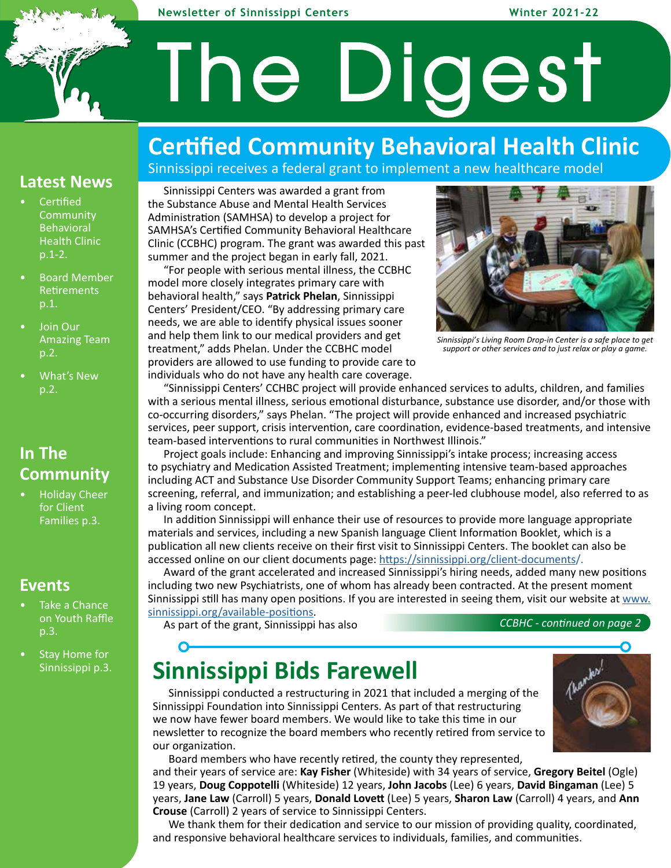#### **Newsletter of Sinnissippi Centers Winter 2021-22**

# The Digest

### **Certified Community Behavioral Health Clinic**

Sinnissippi receives a federal grant to implement a new healthcare model

### **Latest News**

- **Certified Community Behavioral** Health Clinic p.1-2.
- Board Member **Retirements** p.1.
- Join Our Amazing Team p.2.
- What's New p.2.

### **In The Community**

• Holiday Cheer for Client Families p.3.

### **Events**

- Take a Chance on Youth Raffle p.3.
- Stay Home for Sinnissippi p.3.

#### Sinnissippi Centers was awarded a grant from the Substance Abuse and Mental Health Services Administration (SAMHSA) to develop a project for SAMHSA's Certified Community Behavioral Healthcare Clinic (CCBHC) program. The grant was awarded this past summer and the project began in early fall, 2021.

"For people with serious mental illness, the CCBHC model more closely integrates primary care with behavioral health," says **Patrick Phelan**, Sinnissippi Centers' President/CEO. "By addressing primary care needs, we are able to identify physical issues sooner and help them link to our medical providers and get treatment," adds Phelan. Under the CCBHC model providers are allowed to use funding to provide care to individuals who do not have any health care coverage.



*Sinnissippi's Living Room Drop-in Center is a safe place to get support or other services and to just relax or play a game.*

"Sinnissippi Centers' CCHBC project will provide enhanced services to adults, children, and families with a serious mental illness, serious emotional disturbance, substance use disorder, and/or those with co-occurring disorders," says Phelan. "The project will provide enhanced and increased psychiatric services, peer support, crisis intervention, care coordination, evidence-based treatments, and intensive team-based interventions to rural communities in Northwest Illinois."

Project goals include: Enhancing and improving Sinnissippi's intake process; increasing access to psychiatry and Medication Assisted Treatment; implementing intensive team-based approaches including ACT and Substance Use Disorder Community Support Teams; enhancing primary care screening, referral, and immunization; and establishing a peer-led clubhouse model, also referred to as a living room concept.

In addition Sinnissippi will enhance their use of resources to provide more language appropriate materials and services, including a new Spanish language Client Information Booklet, which is a publication all new clients receive on their first visit to Sinnissippi Centers. The booklet can also be accessed online on our client documents page: https://sinnissippi.org/client-documents/.

Award of the grant accelerated and increased Sinnissippi's hiring needs, added many new positions including two new Psychiatrists, one of whom has already been contracted. At the present moment Sinnissippi still has many open positions. If you are interested in seeing them, visit our website at www. sinnissippi.org/available-positions.

As part of the grant, Sinnissippi has also

*CCBHC - continued on page 2--*

### **Sinnissippi Bids Farewell**

Sinnissippi conducted a restructuring in 2021 that included a merging of the Sinnissippi Foundation into Sinnissippi Centers. As part of that restructuring we now have fewer board members. We would like to take this time in our newsletter to recognize the board members who recently retired from service to our organization.

Board members who have recently retired, the county they represented,

and their years of service are: **Kay Fisher** (Whiteside) with 34 years of service, **Gregory Beitel** (Ogle) 19 years, **Doug Coppotelli** (Whiteside) 12 years, **John Jacobs** (Lee) 6 years, **David Bingaman** (Lee) 5 years, **Jane Law** (Carroll) 5 years, **Donald Lovett** (Lee) 5 years, **Sharon Law** (Carroll) 4 years, and **Ann Crouse** (Carroll) 2 years of service to Sinnissippi Centers.

We thank them for their dedication and service to our mission of providing quality, coordinated, and responsive behavioral healthcare services to individuals, families, and communities.

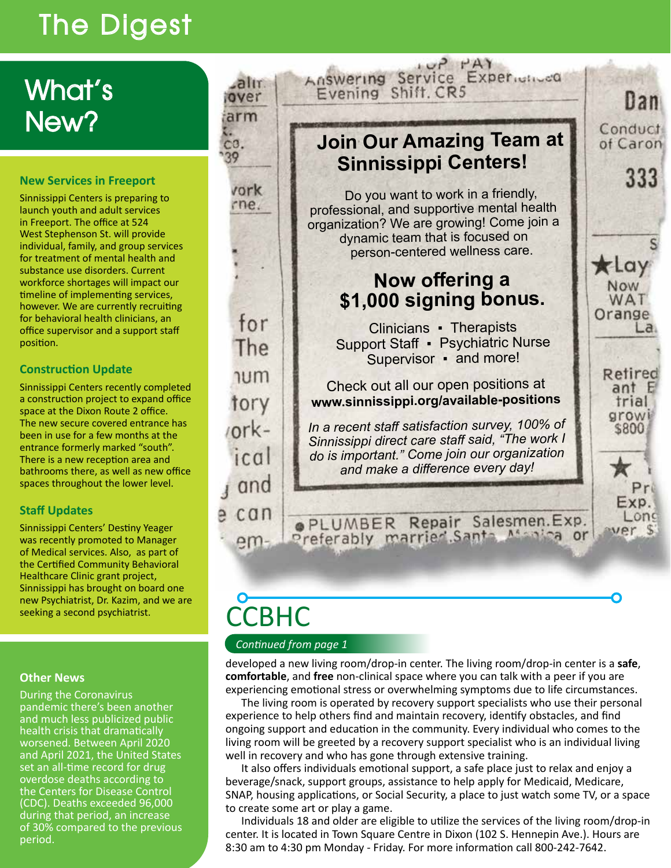## The Digest

### What's New?

### **New Services in Freeport**

Sinnissippi Centers is preparing to launch youth and adult services in Freeport. The office at 524 West Stephenson St. will provide individual, family, and group services for treatment of mental health and substance use disorders. Current workforce shortages will impact our timeline of implementing services, however. We are currently recruiting for behavioral health clinicians, an office supervisor and a support staff position.

### **Construction Update**

Sinnissippi Centers recently completed a construction project to expand office space at the Dixon Route 2 office. The new secure covered entrance has been in use for a few months at the entrance formerly marked "south". There is a new reception area and bathrooms there, as well as new office spaces throughout the lower level.

### **Staff Updates**

Sinnissippi Centers' Destiny Yeager was recently promoted to Manager of Medical services. Also, as part of the Certified Community Behavioral Healthcare Clinic grant project, Sinnissippi has brought on board one new Psychiatrist, Dr. Kazim, and we are seeking a second psychiatrist.

### **Other News**

During the Coronavirus pandemic there's been another and much less publicized public health crisis that dramatically worsened. Between April 2020 and April 2021, the United States set an all-time record for drug overdose deaths according to the Centers for Disease Control (CDC). Deaths exceeded 96,000 during that period, an increase of 30% compared to the previous period.

### **Join Our Amazing Team at Sinnissippi Centers!**

Answering Service Experience

 $\prod$ an

333

 $\overline{a}$ 

Refired

 $antE$ 

trial growi

\$800

Pr Exp.

Long ver \$

Conduct

of Caron

**XLOY Now** WAT Orange

Do you want to work in a friendly, professional, and supportive mental health organization? We are growing! Come join a dynamic team that is focused on person-centered wellness care.

### **Now offering a \$1,000 signing bonus.**

Clinicians ▪ Therapists Support Staff ▪ Psychiatric Nurse Supervisor • and more!

Check out all our open positions at **www.sinnissippi.org/available-positions**

*In a recent staff satisfaction survey, 100% of Sinnissippi direct care staff said, "The work I do is important." Come join our organization and make a difference every day!*

OPLUMBER Repair Salesmen.Exp.

# **CCBHC**

.alır over

arm

vork rne.

for

The

**num** 

tory

 $ork-$ 

 $ic$  $a$ 

and

can

 $em-$ 

e

co.

39

### *Continued from page 1*

developed a new living room/drop-in center. The living room/drop-in center is a **safe**, **comfortable**, and **free** non-clinical space where you can talk with a peer if you are experiencing emotional stress or overwhelming symptoms due to life circumstances.

The living room is operated by recovery support specialists who use their personal experience to help others find and maintain recovery, identify obstacles, and find ongoing support and education in the community. Every individual who comes to the living room will be greeted by a recovery support specialist who is an individual living well in recovery and who has gone through extensive training.

It also offers individuals emotional support, a safe place just to relax and enjoy a beverage/snack, support groups, assistance to help apply for Medicaid, Medicare, SNAP, housing applications, or Social Security, a place to just watch some TV, or a space to create some art or play a game.

Individuals 18 and older are eligible to utilize the services of the living room/drop-in center. It is located in Town Square Centre in Dixon (102 S. Hennepin Ave.). Hours are 8:30 am to 4:30 pm Monday - Friday. For more information call 800-242-7642.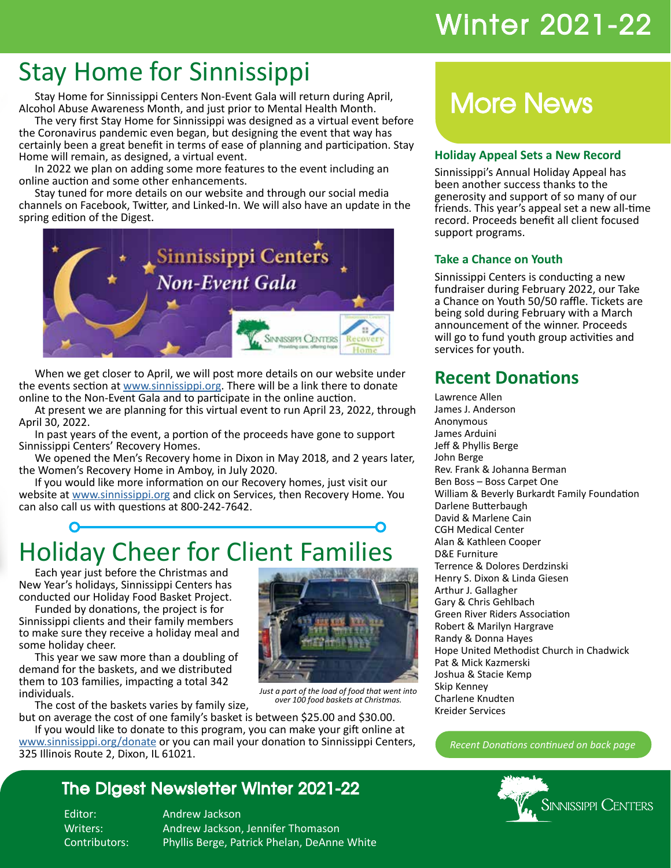### Winter 2021-22

### Stay Home for Sinnissippi

Stay Home for Sinnissippi Centers Non-Event Gala will return during April, Alcohol Abuse Awareness Month, and just prior to Mental Health Month.

The very first Stay Home for Sinnissippi was designed as a virtual event before the Coronavirus pandemic even began, but designing the event that way has certainly been a great benefit in terms of ease of planning and participation. Stay Home will remain, as designed, a virtual event.

In 2022 we plan on adding some more features to the event including an online auction and some other enhancements.

Stay tuned for more details on our website and through our social media channels on Facebook, Twitter, and Linked-In. We will also have an update in the spring edition of the Digest.



When we get closer to April, we will post more details on our website under the events section at www.sinnissippi.org. There will be a link there to donate online to the Non-Event Gala and to participate in the online auction.

At present we are planning for this virtual event to run April 23, 2022, through April 30, 2022.

In past years of the event, a portion of the proceeds have gone to support Sinnissippi Centers' Recovery Homes.

We opened the Men's Recovery home in Dixon in May 2018, and 2 years later, the Women's Recovery Home in Amboy, in July 2020.

If you would like more information on our Recovery homes, just visit our website at www.sinnissippi.org and click on Services, then Recovery Home. You can also call us with questions at 800-242-7642.

# Holiday Cheer for Client Families

Each year just before the Christmas and New Year's holidays, Sinnissippi Centers has conducted our Holiday Food Basket Project.

Funded by donations, the project is for Sinnissippi clients and their family members to make sure they receive a holiday meal and some holiday cheer.

This year we saw more than a doubling of demand for the baskets, and we distributed them to 103 families, impacting a total 342 individuals.

The cost of the baskets varies by family size,

but on average the cost of one family's basket is between \$25.00 and \$30.00. If you would like to donate to this program, you can make your gift online at www.sinnissippi.org/donate or you can mail your donation to Sinnissippi Centers,

325 Illinois Route 2, Dixon, IL 61021.

### The Digest Newsletter Winter 2021-22

Editor: Andrew Jackson

Writers: Andrew Jackson, Jennifer Thomason Contributors: Phyllis Berge, Patrick Phelan, DeAnne White



### **Holiday Appeal Sets a New Record**

Sinnissippi's Annual Holiday Appeal has been another success thanks to the generosity and support of so many of our friends. This year's appeal set a new all-time record. Proceeds benefit all client focused support programs.

### **Take a Chance on Youth**

Sinnissippi Centers is conducting a new fundraiser during February 2022, our Take a Chance on Youth 50/50 raffle. Tickets are being sold during February with a March announcement of the winner. Proceeds will go to fund youth group activities and services for youth.

### **Recent Donations**

Lawrence Allen James J. Anderson Anonymous James Arduini Jeff & Phyllis Berge John Berge Rev. Frank & Johanna Berman Ben Boss – Boss Carpet One William & Beverly Burkardt Family Foundation Darlene Butterbaugh David & Marlene Cain CGH Medical Center Alan & Kathleen Cooper D&E Furniture Terrence & Dolores Derdzinski Henry S. Dixon & Linda Giesen Arthur J. Gallagher Gary & Chris Gehlbach Green River Riders Association Robert & Marilyn Hargrave Randy & Donna Hayes Hope United Methodist Church in Chadwick Pat & Mick Kazmerski Joshua & Stacie Kemp Skip Kenney Charlene Knudten Kreider Services

*Recent Donations continued on back page*





*Just a part of the load of food that went into over 100 food baskets at Christmas.*